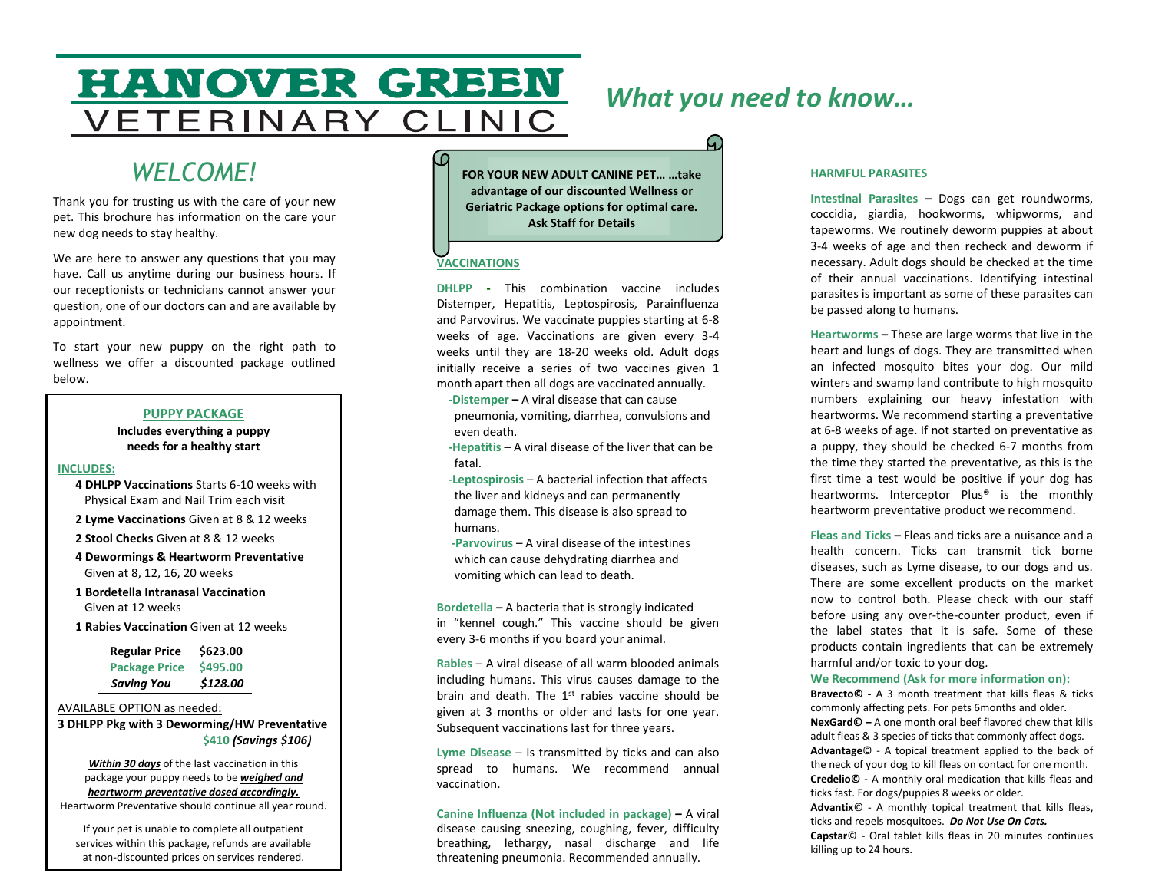# **HANOVER GREEN** VETERINARY CLINIC

# *What you need to know…*

ဪ

# *WELCOME!*

Thank you for trusting us with the care of your new pet. This brochure has information on the care your new dog needs to stay healthy.

We are here to answer any questions that you may have. Call us anytime during our business hours. If our receptionists or technicians cannot answer your question, one of our doctors can and are available by appointment.

To start your new puppy on the right path to wellness we offer a discounted package outlined below.

### **PUPPY PACKAGE**

**Includes everything a puppy needs for a healthy start**

#### **INCLUDES:**

 **4 DHLPP Vaccinations** Starts 6-10 weeks with Physical Exam and Nail Trim each visit

**2 Lyme Vaccinations** Given at 8 & 12 weeks

 **2 Stool Checks** Given at 8 & 12 weeks

 **4 Dewormings & Heartworm Preventative** Given at 8, 12, 16, 20 weeks

 **1 Bordetella Intranasal Vaccination** Given at 12 weeks

 **1 Rabies Vaccination** Given at 12 weeks

| <b>Regular Price</b> | \$623.00 |
|----------------------|----------|
| <b>Package Price</b> | \$495.00 |
| <b>Saving You</b>    | \$128.00 |

#### AVAILABLE OPTION as needed:

**3 DHLPP Pkg with 3 Deworming/HW Preventative \$410** *(Savings \$106)*

*Within 30 days* of the last vaccination in this package your puppy needs to be *weighed and heartworm preventative dosed accordingly.* Heartworm Preventative should continue all year round.

If your pet is unable to complete all outpatient services within this package, refunds are available at non-discounted prices on services rendered.

**FOR YOUR NEW ADULT CANINE PET… …take advantage of our discounted Wellness or Geriatric Package options for optimal care. Ask Staff for Details**

### **VACCINATIONS**

**DHLPP -** This combination vaccine includes Distemper, Hepatitis, Leptospirosis, Parainfluenza and Parvovirus. We vaccinate puppies starting at 6-8 weeks of age. Vaccinations are given every 3-4 weeks until they are 18-20 weeks old. Adult dogs initially receive a series of two vaccines given 1 month apart then all dogs are vaccinated annually.

 **-Distemper –** A viral disease that can cause pneumonia, vomiting, diarrhea, convulsions and even death.

 **-Hepatitis** – A viral disease of the liver that can be fatal.

 **-Leptospirosis** – A bacterial infection that affects the liver and kidneys and can permanently damage them. This disease is also spread to humans.

 **-Parvovirus** – A viral disease of the intestines which can cause dehydrating diarrhea and vomiting which can lead to death.

**Bordetella –** A bacteria that is strongly indicated in "kennel cough." This vaccine should be given every 3-6 months if you board your animal.

**Rabies** – A viral disease of all warm blooded animals including humans. This virus causes damage to the brain and death. The  $1<sup>st</sup>$  rabies vaccine should be given at 3 months or older and lasts for one year. Subsequent vaccinations last for three years.

**Lyme Disease** – Is transmitted by ticks and can also spread to humans. We recommend annual vaccination.

**Canine Influenza (Not included in package) –** A viral disease causing sneezing, coughing, fever, difficulty breathing, lethargy, nasal discharge and life threatening pneumonia. Recommended annually.

#### **HARMFUL PARASITES**

**Intestinal Parasites –** Dogs can get roundworms, coccidia, giardia, hookworms, whipworms, and tapeworms. We routinely deworm puppies at about 3-4 weeks of age and then recheck and deworm if necessary. Adult dogs should be checked at the time of their annual vaccinations. Identifying intestinal parasites is important as some of these parasites can be passed along to humans.

**Heartworms –** These are large worms that live in the heart and lungs of dogs. They are transmitted when an infected mosquito bites your dog. Our mild winters and swamp land contribute to high mosquito numbers explaining our heavy infestation with heartworms. We recommend starting a preventative at 6-8 weeks of age. If not started on preventative as a puppy, they should be checked 6-7 months from the time they started the preventative, as this is the first time a test would be positive if your dog has heartworms. Interceptor Plus® is the monthly heartworm preventative product we recommend.

**Fleas and Ticks –** Fleas and ticks are a nuisance and a health concern. Ticks can transmit tick borne diseases, such as Lyme disease, to our dogs and us. There are some excellent products on the market now to control both. Please check with our staff before using any over-the-counter product, even if the label states that it is safe. Some of these products contain ingredients that can be extremely harmful and/or toxic to your dog.

#### **We Recommend (Ask for more information on):**

**Bravecto© -** A 3 month treatment that kills fleas & ticks commonly affecting pets. For pets 6months and older. **NexGard© –** A one month oral beef flavored chew that kills adult fleas & 3 species of ticks that commonly affect dogs. **Advantage**© - A topical treatment applied to the back of the neck of your dog to kill fleas on contact for one month. **Credelio© -** A monthly oral medication that kills fleas and ticks fast. For dogs/puppies 8 weeks or older. **Advantix**© - A monthly topical treatment that kills fleas, ticks and repels mosquitoes. *Do Not Use On Cats.* **Capstar**© - Oral tablet kills fleas in 20 minutes continues

killing up to 24 hours.